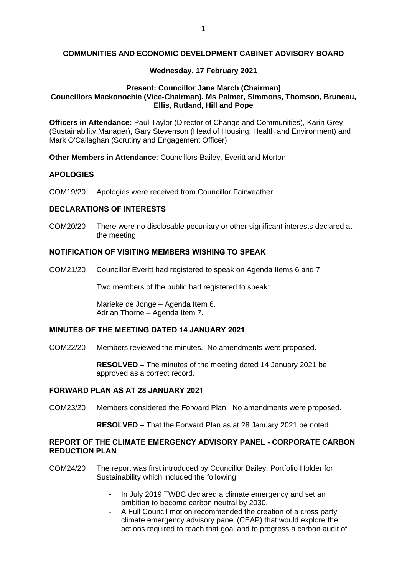## **COMMUNITIES AND ECONOMIC DEVELOPMENT CABINET ADVISORY BOARD**

### **Wednesday, 17 February 2021**

### **Present: Councillor Jane March (Chairman) Councillors Mackonochie (Vice-Chairman), Ms Palmer, Simmons, Thomson, Bruneau, Ellis, Rutland, Hill and Pope**

**Officers in Attendance:** Paul Taylor (Director of Change and Communities), Karin Grey (Sustainability Manager), Gary Stevenson (Head of Housing, Health and Environment) and Mark O'Callaghan (Scrutiny and Engagement Officer)

**Other Members in Attendance**: Councillors Bailey, Everitt and Morton

## **APOLOGIES**

COM19/20 Apologies were received from Councillor Fairweather.

#### **DECLARATIONS OF INTERESTS**

COM20/20 There were no disclosable pecuniary or other significant interests declared at the meeting.

### **NOTIFICATION OF VISITING MEMBERS WISHING TO SPEAK**

COM21/20 Councillor Everitt had registered to speak on Agenda Items 6 and 7.

Two members of the public had registered to speak:

Marieke de Jonge – Agenda Item 6. Adrian Thorne – Agenda Item 7.

#### **MINUTES OF THE MEETING DATED 14 JANUARY 2021**

COM22/20 Members reviewed the minutes. No amendments were proposed.

**RESOLVED –** The minutes of the meeting dated 14 January 2021 be approved as a correct record.

## **FORWARD PLAN AS AT 28 JANUARY 2021**

COM23/20 Members considered the Forward Plan. No amendments were proposed.

**RESOLVED –** That the Forward Plan as at 28 January 2021 be noted.

## **REPORT OF THE CLIMATE EMERGENCY ADVISORY PANEL - CORPORATE CARBON REDUCTION PLAN**

- COM24/20 The report was first introduced by Councillor Bailey, Portfolio Holder for Sustainability which included the following:
	- In July 2019 TWBC declared a climate emergency and set an ambition to become carbon neutral by 2030.
	- A Full Council motion recommended the creation of a cross party climate emergency advisory panel (CEAP) that would explore the actions required to reach that goal and to progress a carbon audit of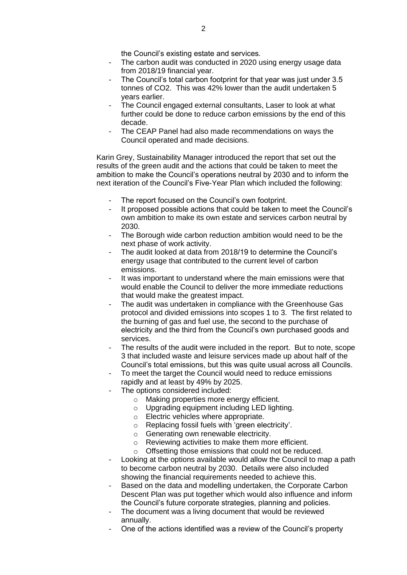the Council's existing estate and services.

- The carbon audit was conducted in 2020 using energy usage data from 2018/19 financial year.
- The Council's total carbon footprint for that year was just under 3.5 tonnes of CO2. This was 42% lower than the audit undertaken 5 years earlier.
- The Council engaged external consultants, Laser to look at what further could be done to reduce carbon emissions by the end of this decade.
- The CEAP Panel had also made recommendations on ways the Council operated and made decisions.

Karin Grey, Sustainability Manager introduced the report that set out the results of the green audit and the actions that could be taken to meet the ambition to make the Council's operations neutral by 2030 and to inform the next iteration of the Council's Five-Year Plan which included the following:

- The report focused on the Council's own footprint.
- It proposed possible actions that could be taken to meet the Council's own ambition to make its own estate and services carbon neutral by 2030.
- The Borough wide carbon reduction ambition would need to be the next phase of work activity.
- The audit looked at data from 2018/19 to determine the Council's energy usage that contributed to the current level of carbon emissions.
- It was important to understand where the main emissions were that would enable the Council to deliver the more immediate reductions that would make the greatest impact.
- The audit was undertaken in compliance with the Greenhouse Gas protocol and divided emissions into scopes 1 to 3. The first related to the burning of gas and fuel use, the second to the purchase of electricity and the third from the Council's own purchased goods and services.
- The results of the audit were included in the report. But to note, scope 3 that included waste and leisure services made up about half of the Council's total emissions, but this was quite usual across all Councils.
- To meet the target the Council would need to reduce emissions rapidly and at least by 49% by 2025.
- The options considered included:
	- o Making properties more energy efficient.
	- $\circ$  Upgrading equipment including LED lighting.
	- o Electric vehicles where appropriate.
	- o Replacing fossil fuels with 'green electricity'.
	- o Generating own renewable electricity.
	- o Reviewing activities to make them more efficient.
	- o Offsetting those emissions that could not be reduced.
- Looking at the options available would allow the Council to map a path to become carbon neutral by 2030. Details were also included showing the financial requirements needed to achieve this.
- Based on the data and modelling undertaken, the Corporate Carbon Descent Plan was put together which would also influence and inform the Council's future corporate strategies, planning and policies.
- The document was a living document that would be reviewed annually.
- One of the actions identified was a review of the Council's property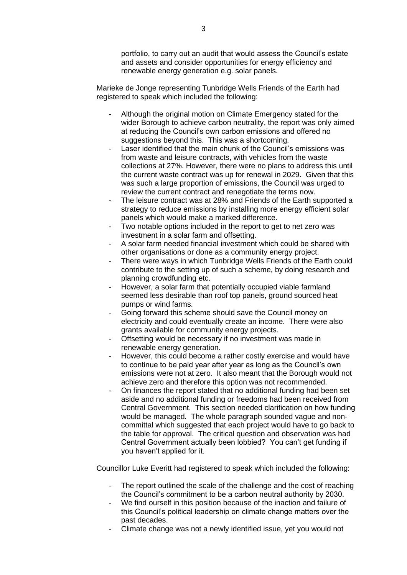portfolio, to carry out an audit that would assess the Council's estate and assets and consider opportunities for energy efficiency and renewable energy generation e.g. solar panels.

Marieke de Jonge representing Tunbridge Wells Friends of the Earth had registered to speak which included the following:

- Although the original motion on Climate Emergency stated for the wider Borough to achieve carbon neutrality, the report was only aimed at reducing the Council's own carbon emissions and offered no suggestions beyond this. This was a shortcoming.
- Laser identified that the main chunk of the Council's emissions was from waste and leisure contracts, with vehicles from the waste collections at 27%. However, there were no plans to address this until the current waste contract was up for renewal in 2029. Given that this was such a large proportion of emissions, the Council was urged to review the current contract and renegotiate the terms now.
- The leisure contract was at 28% and Friends of the Earth supported a strategy to reduce emissions by installing more energy efficient solar panels which would make a marked difference.
- Two notable options included in the report to get to net zero was investment in a solar farm and offsetting.
- A solar farm needed financial investment which could be shared with other organisations or done as a community energy project.
- There were ways in which Tunbridge Wells Friends of the Earth could contribute to the setting up of such a scheme, by doing research and planning crowdfunding etc.
- However, a solar farm that potentially occupied viable farmland seemed less desirable than roof top panels, ground sourced heat pumps or wind farms.
- Going forward this scheme should save the Council money on electricity and could eventually create an income. There were also grants available for community energy projects.
- Offsetting would be necessary if no investment was made in renewable energy generation.
- However, this could become a rather costly exercise and would have to continue to be paid year after year as long as the Council's own emissions were not at zero. It also meant that the Borough would not achieve zero and therefore this option was not recommended.
- On finances the report stated that no additional funding had been set aside and no additional funding or freedoms had been received from Central Government. This section needed clarification on how funding would be managed. The whole paragraph sounded vague and noncommittal which suggested that each project would have to go back to the table for approval. The critical question and observation was had Central Government actually been lobbied? You can't get funding if you haven't applied for it.

Councillor Luke Everitt had registered to speak which included the following:

- The report outlined the scale of the challenge and the cost of reaching the Council's commitment to be a carbon neutral authority by 2030.
- We find ourself in this position because of the inaction and failure of this Council's political leadership on climate change matters over the past decades.
- Climate change was not a newly identified issue, yet you would not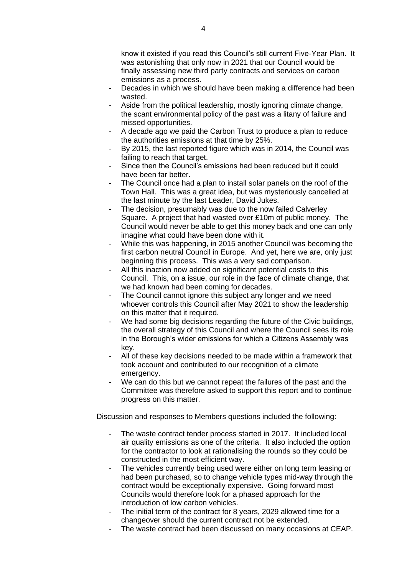know it existed if you read this Council's still current Five-Year Plan. It was astonishing that only now in 2021 that our Council would be finally assessing new third party contracts and services on carbon emissions as a process.

- Decades in which we should have been making a difference had been wasted.
- Aside from the political leadership, mostly ignoring climate change, the scant environmental policy of the past was a litany of failure and missed opportunities.
- A decade ago we paid the Carbon Trust to produce a plan to reduce the authorities emissions at that time by 25%.
- By 2015, the last reported figure which was in 2014, the Council was failing to reach that target.
- Since then the Council's emissions had been reduced but it could have been far better.
- The Council once had a plan to install solar panels on the roof of the Town Hall. This was a great idea, but was mysteriously cancelled at the last minute by the last Leader, David Jukes.
- The decision, presumably was due to the now failed Calverley Square. A project that had wasted over £10m of public money. The Council would never be able to get this money back and one can only imagine what could have been done with it.
- While this was happening, in 2015 another Council was becoming the first carbon neutral Council in Europe. And yet, here we are, only just beginning this process. This was a very sad comparison.
- All this inaction now added on significant potential costs to this Council. This, on a issue, our role in the face of climate change, that we had known had been coming for decades.
- The Council cannot ignore this subject any longer and we need whoever controls this Council after May 2021 to show the leadership on this matter that it required.
- We had some big decisions regarding the future of the Civic buildings, the overall strategy of this Council and where the Council sees its role in the Borough's wider emissions for which a Citizens Assembly was key.
- All of these key decisions needed to be made within a framework that took account and contributed to our recognition of a climate emergency.
- We can do this but we cannot repeat the failures of the past and the Committee was therefore asked to support this report and to continue progress on this matter.

Discussion and responses to Members questions included the following:

- The waste contract tender process started in 2017. It included local air quality emissions as one of the criteria. It also included the option for the contractor to look at rationalising the rounds so they could be constructed in the most efficient way.
- The vehicles currently being used were either on long term leasing or had been purchased, so to change vehicle types mid-way through the contract would be exceptionally expensive. Going forward most Councils would therefore look for a phased approach for the introduction of low carbon vehicles.
- The initial term of the contract for 8 years, 2029 allowed time for a changeover should the current contract not be extended.
- The waste contract had been discussed on many occasions at CEAP.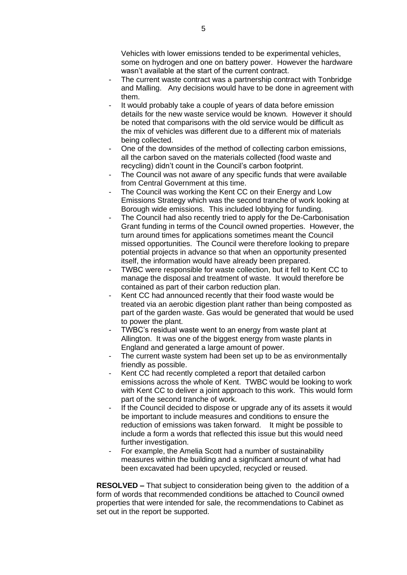Vehicles with lower emissions tended to be experimental vehicles, some on hydrogen and one on battery power. However the hardware wasn't available at the start of the current contract.

- The current waste contract was a partnership contract with Tonbridge and Malling. Any decisions would have to be done in agreement with them.
- It would probably take a couple of years of data before emission details for the new waste service would be known. However it should be noted that comparisons with the old service would be difficult as the mix of vehicles was different due to a different mix of materials being collected.
- One of the downsides of the method of collecting carbon emissions, all the carbon saved on the materials collected (food waste and recycling) didn't count in the Council's carbon footprint.
- The Council was not aware of any specific funds that were available from Central Government at this time.
- The Council was working the Kent CC on their Energy and Low Emissions Strategy which was the second tranche of work looking at Borough wide emissions. This included lobbying for funding.
- The Council had also recently tried to apply for the De-Carbonisation Grant funding in terms of the Council owned properties. However, the turn around times for applications sometimes meant the Council missed opportunities. The Council were therefore looking to prepare potential projects in advance so that when an opportunity presented itself, the information would have already been prepared.
- TWBC were responsible for waste collection, but it fell to Kent CC to manage the disposal and treatment of waste. It would therefore be contained as part of their carbon reduction plan.
- Kent CC had announced recently that their food waste would be treated via an aerobic digestion plant rather than being composted as part of the garden waste. Gas would be generated that would be used to power the plant.
- TWBC's residual waste went to an energy from waste plant at Allington. It was one of the biggest energy from waste plants in England and generated a large amount of power.
- The current waste system had been set up to be as environmentally friendly as possible.
- Kent CC had recently completed a report that detailed carbon emissions across the whole of Kent. TWBC would be looking to work with Kent CC to deliver a joint approach to this work. This would form part of the second tranche of work.
- If the Council decided to dispose or upgrade any of its assets it would be important to include measures and conditions to ensure the reduction of emissions was taken forward. It might be possible to include a form a words that reflected this issue but this would need further investigation.
- For example, the Amelia Scott had a number of sustainability measures within the building and a significant amount of what had been excavated had been upcycled, recycled or reused.

**RESOLVED –** That subject to consideration being given to the addition of a form of words that recommended conditions be attached to Council owned properties that were intended for sale, the recommendations to Cabinet as set out in the report be supported.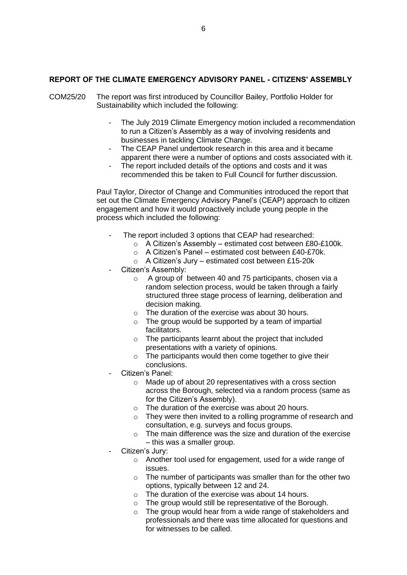## **REPORT OF THE CLIMATE EMERGENCY ADVISORY PANEL - CITIZENS' ASSEMBLY**

- COM25/20 The report was first introduced by Councillor Bailey, Portfolio Holder for Sustainability which included the following:
	- The July 2019 Climate Emergency motion included a recommendation to run a Citizen's Assembly as a way of involving residents and businesses in tackling Climate Change.
	- The CEAP Panel undertook research in this area and it became apparent there were a number of options and costs associated with it.
	- The report included details of the options and costs and it was recommended this be taken to Full Council for further discussion.

Paul Taylor, Director of Change and Communities introduced the report that set out the Climate Emergency Advisory Panel's (CEAP) approach to citizen engagement and how it would proactively include young people in the process which included the following:

- The report included 3 options that CEAP had researched:
	- o A Citizen's Assembly estimated cost between £80-£100k.
	- o A Citizen's Panel estimated cost between £40-£70k.
	- o A Citizen's Jury estimated cost between £15-20k
- Citizen's Assembly:
	- o A group of between 40 and 75 participants, chosen via a random selection process, would be taken through a fairly structured three stage process of learning, deliberation and decision making.
	- $\circ$  The duration of the exercise was about 30 hours.
	- o The group would be supported by a team of impartial facilitators.
	- o The participants learnt about the project that included presentations with a variety of opinions.
	- o The participants would then come together to give their conclusions.
- Citizen's Panel:
	- o Made up of about 20 representatives with a cross section across the Borough, selected via a random process (same as for the Citizen's Assembly).
	- o The duration of the exercise was about 20 hours.
	- o They were then invited to a rolling programme of research and consultation, e.g. surveys and focus groups.
	- o The main difference was the size and duration of the exercise – this was a smaller group.
- Citizen's Jury:
	- o Another tool used for engagement, used for a wide range of issues.
	- $\circ$  The number of participants was smaller than for the other two options, typically between 12 and 24.
	- o The duration of the exercise was about 14 hours.
	- o The group would still be representative of the Borough.
	- o The group would hear from a wide range of stakeholders and professionals and there was time allocated for questions and for witnesses to be called.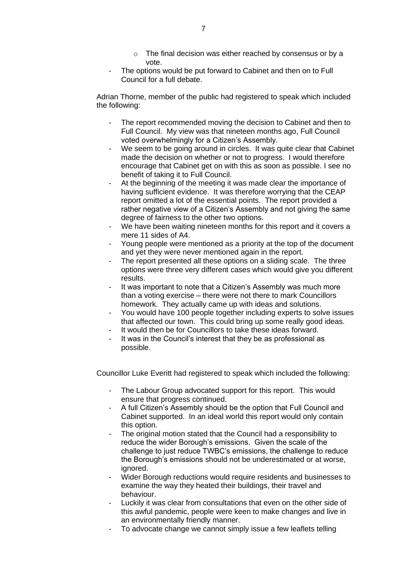- o The final decision was either reached by consensus or by a vote.
- The options would be put forward to Cabinet and then on to Full Council for a full debate.

Adrian Thorne, member of the public had registered to speak which included the following:

- The report recommended moving the decision to Cabinet and then to Full Council. My view was that nineteen months ago, Full Council voted overwhelmingly for a Citizen's Assembly.
- We seem to be going around in circles. It was quite clear that Cabinet made the decision on whether or not to progress. I would therefore encourage that Cabinet get on with this as soon as possible. I see no benefit of taking it to Full Council.
- At the beginning of the meeting it was made clear the importance of having sufficient evidence. It was therefore worrying that the CEAP report omitted a lot of the essential points. The report provided a rather negative view of a Citizen's Assembly and not giving the same degree of fairness to the other two options.
- We have been waiting nineteen months for this report and it covers a mere 11 sides of A4.
- Young people were mentioned as a priority at the top of the document and yet they were never mentioned again in the report.
- The report presented all these options on a sliding scale. The three options were three very different cases which would give you different results.
- It was important to note that a Citizen's Assembly was much more than a voting exercise – there were not there to mark Councillors homework. They actually came up with ideas and solutions.
- You would have 100 people together including experts to solve issues that affected our town. This could bring up some really good ideas.
- It would then be for Councillors to take these ideas forward.
- It was in the Council's interest that they be as professional as possible.

Councillor Luke Everitt had registered to speak which included the following:

- The Labour Group advocated support for this report. This would ensure that progress continued.
- A full Citizen's Assembly should be the option that Full Council and Cabinet supported. In an ideal world this report would only contain this option.
- The original motion stated that the Council had a responsibility to reduce the wider Borough's emissions. Given the scale of the challenge to just reduce TWBC's emissions, the challenge to reduce the Borough's emissions should not be underestimated or at worse, ignored.
- Wider Borough reductions would require residents and businesses to examine the way they heated their buildings, their travel and behaviour.
- Luckily it was clear from consultations that even on the other side of this awful pandemic, people were keen to make changes and live in an environmentally friendly manner.
- To advocate change we cannot simply issue a few leaflets telling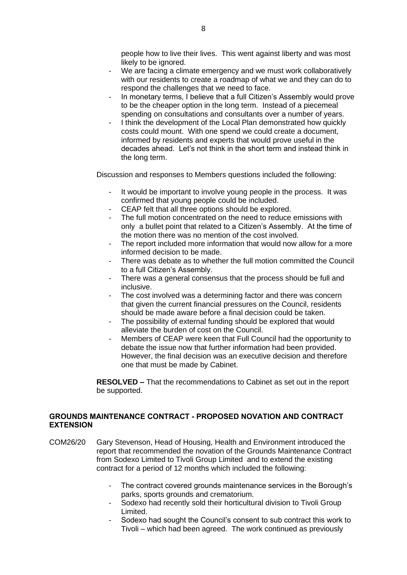people how to live their lives. This went against liberty and was most likely to be ignored.

- We are facing a climate emergency and we must work collaboratively with our residents to create a roadmap of what we and they can do to respond the challenges that we need to face.
- In monetary terms, I believe that a full Citizen's Assembly would prove to be the cheaper option in the long term. Instead of a piecemeal spending on consultations and consultants over a number of years.
- I think the development of the Local Plan demonstrated how quickly costs could mount. With one spend we could create a document, informed by residents and experts that would prove useful in the decades ahead. Let's not think in the short term and instead think in the long term.

Discussion and responses to Members questions included the following:

- It would be important to involve young people in the process. It was confirmed that young people could be included.
- CEAP felt that all three options should be explored.
- The full motion concentrated on the need to reduce emissions with only a bullet point that related to a Citizen's Assembly. At the time of the motion there was no mention of the cost involved.
- The report included more information that would now allow for a more informed decision to be made.
- There was debate as to whether the full motion committed the Council to a full Citizen's Assembly.
- There was a general consensus that the process should be full and inclusive.
- The cost involved was a determining factor and there was concern that given the current financial pressures on the Council, residents should be made aware before a final decision could be taken.
- The possibility of external funding should be explored that would alleviate the burden of cost on the Council.
- Members of CEAP were keen that Full Council had the opportunity to debate the issue now that further information had been provided. However, the final decision was an executive decision and therefore one that must be made by Cabinet.

**RESOLVED –** That the recommendations to Cabinet as set out in the report be supported.

# **GROUNDS MAINTENANCE CONTRACT - PROPOSED NOVATION AND CONTRACT EXTENSION**

- COM26/20 Gary Stevenson, Head of Housing, Health and Environment introduced the report that recommended the novation of the Grounds Maintenance Contract from Sodexo Limited to Tivoli Group Limited and to extend the existing contract for a period of 12 months which included the following:
	- The contract covered grounds maintenance services in the Borough's parks, sports grounds and crematorium.
	- Sodexo had recently sold their horticultural division to Tivoli Group Limited.
	- Sodexo had sought the Council's consent to sub contract this work to Tivoli – which had been agreed. The work continued as previously